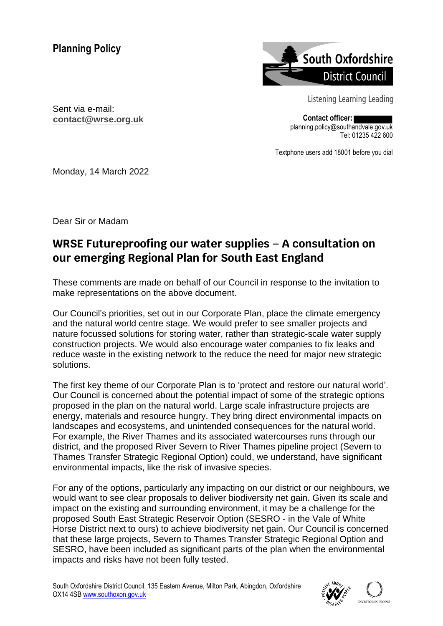

Listening Learning Leading

**Contact officer:** planning.policy@southandvale.gov.uk Tel: 01235 422 600

Textphone users add 18001 before you dial

Sent via e-mail: **contact@wrse.org.uk**

Monday, 14 March 2022

Dear Sir or Madam

# **WRSE Futureproofing our water supplies – A consultation on our emerging Regional Plan for South East England**

These comments are made on behalf of our Council in response to the invitation to make representations on the above document.

Our Council's priorities, set out in our Corporate Plan, place the climate emergency and the natural world centre stage. We would prefer to see smaller projects and nature focussed solutions for storing water, rather than strategic-scale water supply construction projects. We would also encourage water companies to fix leaks and reduce waste in the existing network to the reduce the need for major new strategic solutions.

The first key theme of our Corporate Plan is to 'protect and restore our natural world'. Our Council is concerned about the potential impact of some of the strategic options proposed in the plan on the natural world. Large scale infrastructure projects are energy, materials and resource hungry. They bring direct environmental impacts on landscapes and ecosystems, and unintended consequences for the natural world. For example, the River Thames and its associated watercourses runs through our district, and the proposed River Severn to River Thames pipeline project (Severn to Thames Transfer Strategic Regional Option) could, we understand, have significant environmental impacts, like the risk of invasive species.

For any of the options, particularly any impacting on our district or our neighbours, we would want to see clear proposals to deliver biodiversity net gain. Given its scale and impact on the existing and surrounding environment, it may be a challenge for the proposed South East Strategic Reservoir Option (SESRO - in the Vale of White Horse District next to ours) to achieve biodiversity net gain. Our Council is concerned that these large projects, Severn to Thames Transfer Strategic Regional Option and SESRO, have been included as significant parts of the plan when the environmental impacts and risks have not been fully tested.

South Oxfordshire District Council, 135 Eastern Avenue, Milton Park, Abingdon, Oxfordshire OX14 4SB [www.southoxon.gov.uk](http://www.southoxon.gov.uk/)

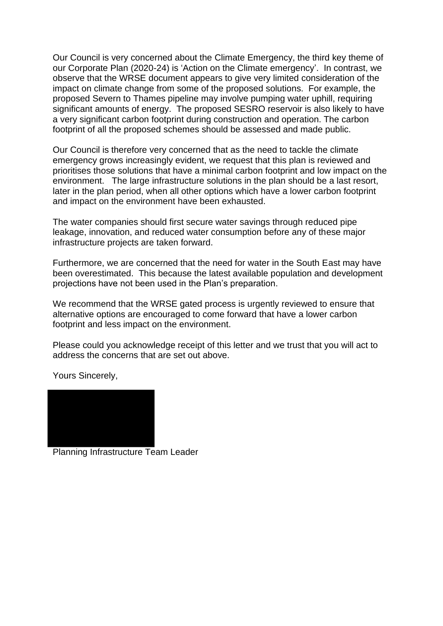Our Council is very concerned about the Climate Emergency, the third key theme of our Corporate Plan (2020-24) is 'Action on the Climate emergency'. In contrast, we observe that the WRSE document appears to give very limited consideration of the impact on climate change from some of the proposed solutions. For example, the proposed Severn to Thames pipeline may involve pumping water uphill, requiring significant amounts of energy. The proposed SESRO reservoir is also likely to have a very significant carbon footprint during construction and operation. The carbon footprint of all the proposed schemes should be assessed and made public.

Our Council is therefore very concerned that as the need to tackle the climate emergency grows increasingly evident, we request that this plan is reviewed and prioritises those solutions that have a minimal carbon footprint and low impact on the environment. The large infrastructure solutions in the plan should be a last resort, later in the plan period, when all other options which have a lower carbon footprint and impact on the environment have been exhausted.

The water companies should first secure water savings through reduced pipe leakage, innovation, and reduced water consumption before any of these major infrastructure projects are taken forward.

Furthermore, we are concerned that the need for water in the South East may have been overestimated. This because the latest available population and development projections have not been used in the Plan's preparation.

We recommend that the WRSE gated process is urgently reviewed to ensure that alternative options are encouraged to come forward that have a lower carbon footprint and less impact on the environment.

Please could you acknowledge receipt of this letter and we trust that you will act to address the concerns that are set out above.

Yours Sincerely,



Planning Infrastructure Team Leader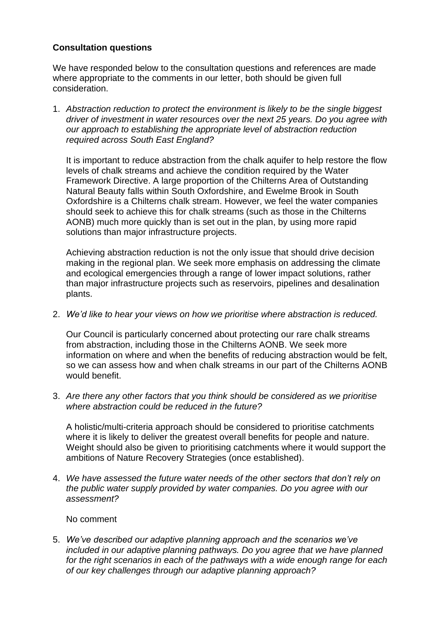## **Consultation questions**

We have responded below to the consultation questions and references are made where appropriate to the comments in our letter, both should be given full consideration.

1. *Abstraction reduction to protect the environment is likely to be the single biggest driver of investment in water resources over the next 25 years. Do you agree with our approach to establishing the appropriate level of abstraction reduction required across South East England?*

It is important to reduce abstraction from the chalk aquifer to help restore the flow levels of chalk streams and achieve the condition required by the Water Framework Directive. A large proportion of the Chilterns Area of Outstanding Natural Beauty falls within South Oxfordshire, and Ewelme Brook in South Oxfordshire is a Chilterns chalk stream. However, we feel the water companies should seek to achieve this for chalk streams (such as those in the Chilterns AONB) much more quickly than is set out in the plan, by using more rapid solutions than major infrastructure projects.

Achieving abstraction reduction is not the only issue that should drive decision making in the regional plan. We seek more emphasis on addressing the climate and ecological emergencies through a range of lower impact solutions, rather than major infrastructure projects such as reservoirs, pipelines and desalination plants.

2. *We'd like to hear your views on how we prioritise where abstraction is reduced.*

Our Council is particularly concerned about protecting our rare chalk streams from abstraction, including those in the Chilterns AONB. We seek more information on where and when the benefits of reducing abstraction would be felt, so we can assess how and when chalk streams in our part of the Chilterns AONB would benefit.

3. *Are there any other factors that you think should be considered as we prioritise where abstraction could be reduced in the future?* 

A holistic/multi-criteria approach should be considered to prioritise catchments where it is likely to deliver the greatest overall benefits for people and nature. Weight should also be given to prioritising catchments where it would support the ambitions of Nature Recovery Strategies (once established).

4. *We have assessed the future water needs of the other sectors that don't rely on the public water supply provided by water companies. Do you agree with our assessment?*

No comment

5. *We've described our adaptive planning approach and the scenarios we've included in our adaptive planning pathways. Do you agree that we have planned for the right scenarios in each of the pathways with a wide enough range for each of our key challenges through our adaptive planning approach?*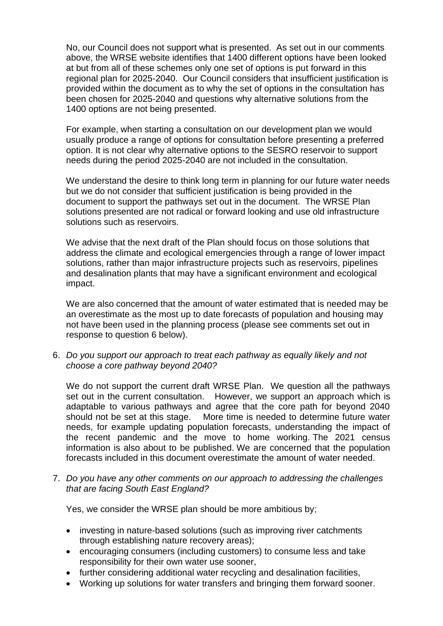No, our Council does not support what is presented. As set out in our comments above, the WRSE website identifies that 1400 different options have been looked at but from all of these schemes only one set of options is put forward in this regional plan for 2025-2040. Our Council considers that insufficient justification is provided within the document as to why the set of options in the consultation has been chosen for 2025-2040 and questions why alternative solutions from the 1400 options are not being presented.

For example, when starting a consultation on our development plan we would usually produce a range of options for consultation before presenting a preferred option. It is not clear why alternative options to the SESRO reservoir to support needs during the period 2025-2040 are not included in the consultation.

We understand the desire to think long term in planning for our future water needs but we do not consider that sufficient justification is being provided in the document to support the pathways set out in the document. The WRSE Plan solutions presented are not radical or forward looking and use old infrastructure solutions such as reservoirs.

We advise that the next draft of the Plan should focus on those solutions that address the climate and ecological emergencies through a range of lower impact solutions, rather than major infrastructure projects such as reservoirs, pipelines and desalination plants that may have a significant environment and ecological impact.

We are also concerned that the amount of water estimated that is needed may be an overestimate as the most up to date forecasts of population and housing may not have been used in the planning process (please see comments set out in response to question 6 below).

6. *Do you support our approach to treat each pathway as equally likely and not choose a core pathway beyond 2040?*

We do not support the current draft WRSE Plan. We question all the pathways set out in the current consultation. However, we support an approach which is adaptable to various pathways and agree that the core path for beyond 2040 should not be set at this stage. More time is needed to determine future water needs, for example updating population forecasts, understanding the impact of the recent pandemic and the move to home working. The 2021 census information is also about to be published. We are concerned that the population forecasts included in this document overestimate the amount of water needed.

7. *Do you have any other comments on our approach to addressing the challenges that are facing South East England?*

Yes, we consider the WRSE plan should be more ambitious by;

- investing in nature-based solutions (such as improving river catchments through establishing nature recovery areas);
- encouraging consumers (including customers) to consume less and take responsibility for their own water use sooner,
- further considering additional water recycling and desalination facilities,
- Working up solutions for water transfers and bringing them forward sooner.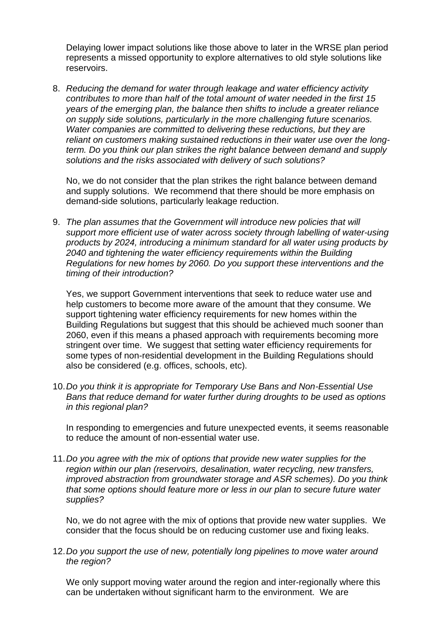Delaying lower impact solutions like those above to later in the WRSE plan period represents a missed opportunity to explore alternatives to old style solutions like reservoirs.

8. *Reducing the demand for water through leakage and water efficiency activity contributes to more than half of the total amount of water needed in the first 15 years of the emerging plan, the balance then shifts to include a greater reliance on supply side solutions, particularly in the more challenging future scenarios. Water companies are committed to delivering these reductions, but they are reliant on customers making sustained reductions in their water use over the longterm. Do you think our plan strikes the right balance between demand and supply solutions and the risks associated with delivery of such solutions?*

No, we do not consider that the plan strikes the right balance between demand and supply solutions. We recommend that there should be more emphasis on demand-side solutions, particularly leakage reduction.

9. *The plan assumes that the Government will introduce new policies that will support more efficient use of water across society through labelling of water-using products by 2024, introducing a minimum standard for all water using products by 2040 and tightening the water efficiency requirements within the Building Regulations for new homes by 2060. Do you support these interventions and the timing of their introduction?*

Yes, we support Government interventions that seek to reduce water use and help customers to become more aware of the amount that they consume. We support tightening water efficiency requirements for new homes within the Building Regulations but suggest that this should be achieved much sooner than 2060, even if this means a phased approach with requirements becoming more stringent over time. We suggest that setting water efficiency requirements for some types of non-residential development in the Building Regulations should also be considered (e.g. offices, schools, etc).

10.*Do you think it is appropriate for Temporary Use Bans and Non-Essential Use Bans that reduce demand for water further during droughts to be used as options in this regional plan?*

In responding to emergencies and future unexpected events, it seems reasonable to reduce the amount of non-essential water use.

11.*Do you agree with the mix of options that provide new water supplies for the region within our plan (reservoirs, desalination, water recycling, new transfers, improved abstraction from groundwater storage and ASR schemes). Do you think that some options should feature more or less in our plan to secure future water supplies?*

No, we do not agree with the mix of options that provide new water supplies. We consider that the focus should be on reducing customer use and fixing leaks.

12.*Do you support the use of new, potentially long pipelines to move water around the region?*

We only support moving water around the region and inter-regionally where this can be undertaken without significant harm to the environment. We are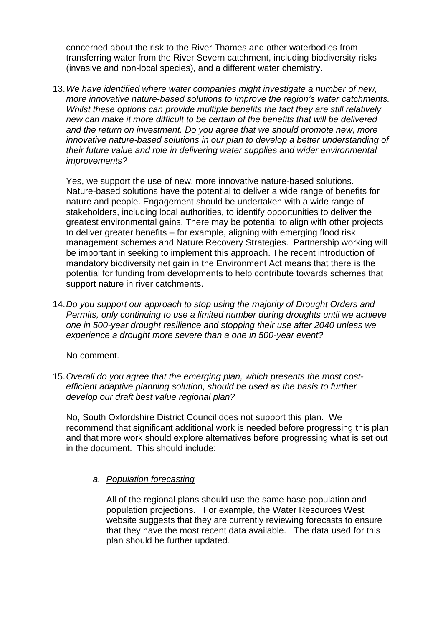concerned about the risk to the River Thames and other waterbodies from transferring water from the River Severn catchment, including biodiversity risks (invasive and non-local species), and a different water chemistry.

13.*We have identified where water companies might investigate a number of new, more innovative nature-based solutions to improve the region's water catchments. Whilst these options can provide multiple benefits the fact they are still relatively new can make it more difficult to be certain of the benefits that will be delivered and the return on investment. Do you agree that we should promote new, more innovative nature-based solutions in our plan to develop a better understanding of their future value and role in delivering water supplies and wider environmental improvements?*

Yes, we support the use of new, more innovative nature-based solutions. Nature-based solutions have the potential to deliver a wide range of benefits for nature and people. Engagement should be undertaken with a wide range of stakeholders, including local authorities, to identify opportunities to deliver the greatest environmental gains. There may be potential to align with other projects to deliver greater benefits – for example, aligning with emerging flood risk management schemes and Nature Recovery Strategies. Partnership working will be important in seeking to implement this approach. The recent introduction of mandatory biodiversity net gain in the Environment Act means that there is the potential for funding from developments to help contribute towards schemes that support nature in river catchments.

14.*Do you support our approach to stop using the majority of Drought Orders and Permits, only continuing to use a limited number during droughts until we achieve one in 500-year drought resilience and stopping their use after 2040 unless we experience a drought more severe than a one in 500-year event?*

No comment.

15.*Overall do you agree that the emerging plan, which presents the most costefficient adaptive planning solution, should be used as the basis to further develop our draft best value regional plan?*

No, South Oxfordshire District Council does not support this plan. We recommend that significant additional work is needed before progressing this plan and that more work should explore alternatives before progressing what is set out in the document. This should include:

#### *a. Population forecasting*

All of the regional plans should use the same base population and population projections. For example, the Water Resources West website suggests that they are currently reviewing forecasts to ensure that they have the most recent data available. The data used for this plan should be further updated.